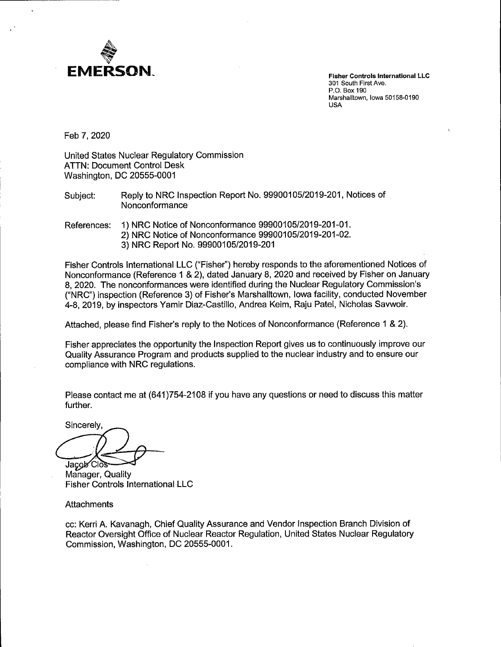

**Fisher Controls International LLC**  301 South First Ave. P.O. Box 190 Marshalltown, Iowa 50158-0190 USA

Feb 7, 2020

United States Nuclear Regulatory Commission ATTN: Document Control Desk Washington, DC 20555-0001

Subject: Reply to NRG Inspection Report No. 99900105/2019-201, Notices of Nonconformance

References: 1) NRG Notice of Nonconformance 99900105/2019-201-01.

- 2) NRG Notice of Nonconformance 99900105/2019-201-02.
	- 3) NRG Report No. 99900105/2019-201

Fisher Controls International LLC ("Fisher") hereby responds to the aforementioned Notices of Nonconformance (Reference 1 & 2), dated January 8, 2020 and received by Fisher on January 8, 2020. The nonconformances were identified during the Nuclear Regulatory Commission's ("NRG") inspection (Reference 3) of Fisher's Marshalltown, Iowa facility, conducted November 4-8, 2019, by inspectors Yamir Diaz-Castillo, Andrea Keim, Raju Patel, Nicholas Savwoir.

Attached, please find Fisher's reply to the Notices of Nonconformance (Reference 1 & 2).

Fisher appreciates the opportunity the Inspection Report gives us to continuously improve our Quality Assurance Program and products supplied to the nuclear industry and to ensure our compliance with NRG regulations.

Please contact me at (641)754-2108 if you have any questions or need to discuss this matter further.

Sincerely. Jacob Clos

Manager, Quality Fisher Controls International LLC

**Attachments** 

cc: Kerri A. Kavanagh, Chief Quality Assurance and Vendor Inspection Branch Division of Reactor Oversight Office of Nuclear Reactor Regulation, United States Nuclear Regulatory Commission, Washington, DC 20555-0001.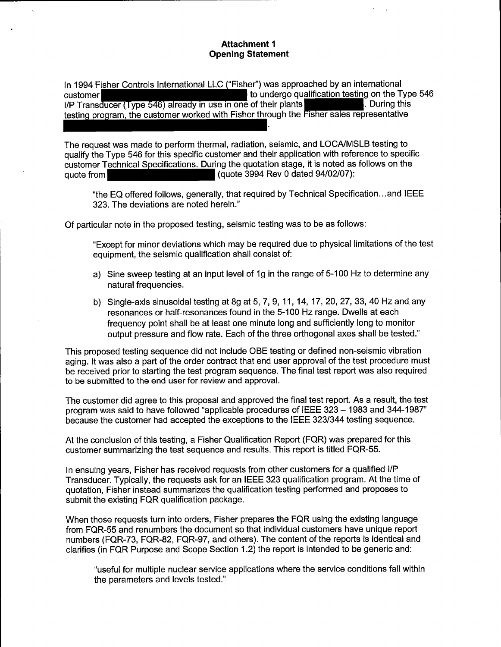# **Attachment 1 Opening Statement**

In 1994 Fisher Controls International LLC ("Fisher") was approached by an international to undergo qualification testing on the Type 546 customer I/P Transducer (Type 546) already in use in one of their plants . During this testing program, the customer worked with Fisher through the Fisher sales representative

The request was made to perform thermal, radiation, seismic, and LOCA/MSLB testing to qualify the Type 546 for this specific customer and their application with reference to specific customer Technical Specifications. During the quotation stage, it is noted as follows on the quote from **quote 3994** Rev 0 dated 94/02/07):

"the EQ offered follows, generally, that required by Technical Specification ... and IEEE 323. The deviations are noted herein."

Of particular note in the proposed testing, seismic testing was to be as follows:

"Except for minor deviations which may be required due to physical limitations of the test equipment, the seismic qualification shall consist of:

- a) Sine sweep testing at an input level of 1g in the range of 5-100 Hz to determine any natural frequencies.
- b) Single-axis sinusoidal testing at 8g at 5, 7, 9, 11, 14, 17, 20, 27, 33, 40 Hz and. any resonances or half-resonances found in the 5-100 Hz range. Dwells at each frequency point shall be at least one minute long and sufficiently long to monitor output pressure and flow rate. Each of the three orthogonal axes shall be tested."

This proposed testing sequence did not include QBE testing or defined non-seismic vibration aging. It was also a part of the order contract that end user approval of the test procedure must be received prior to starting the test program sequence. The final test report was also required to be submitted to the end user for review and approval.

The customer did agree to this proposal and approved the final test report. As a result, the test program was said to have followed "applicable procedures of IEEE 323 - 1983 and 344-1987" because the customer had accepted the exceptions to the IEEE 323/344 testing sequence.

At the conclusion of this testing, a Fisher Qualification Report (FQR) was prepared for this customer summarizing the test sequence and results. This report is titled FQR-55.

In ensuing years, Fisher has received requests from other customers for a qualified 1/P Transducer. Typically, the requests ask for an IEEE 323 qualification program. At the time of quotation, Fisher instead summarizes the qualification testing performed and proposes to submit the existing FQR qualification package.

When those requests turn into orders, Fisher prepares the FQR using the existing language from FQR-55 and renumbers the document so that individual customers have unique report numbers (FQR-73, FQR-82, FQR-97, and others). The content of the reports is identical and clarifies (in FQR Purpose and Scope Section 1.2) the report is intended to be generic and:

"useful for multiple nuclear service applications where the service conditions fall within the parameters and levels tested."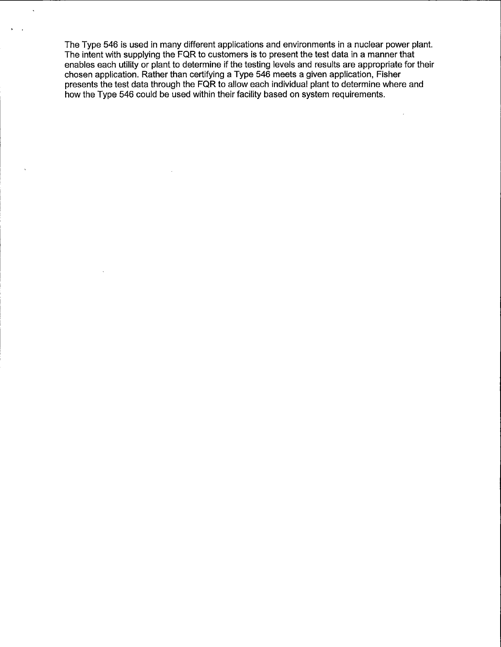The Type 546 is used in many different applications and environments in a nuclear power plant. The intent with supplying the FQR to customers is to present the test data in a manner that enables each utility or plant to determine if the testing levels and results are appropriate for their chosen application. Rather than certifying a Type 546 meets a given application, Fisher presents the test data through the FQR to allow each individual plant to determine where and how the Type 546 could be used within their facility based on system requirements.

 $\sim$ 

 $\ddot{\phantom{a}}$ 

 $\bar{z}$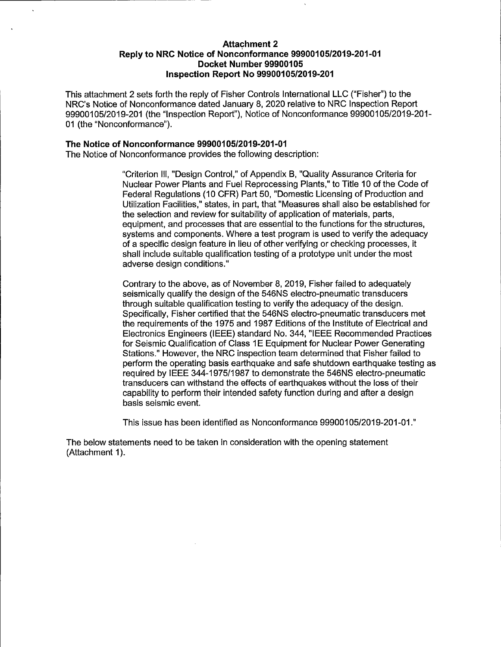### **Attachment 2 Reply to NRC Notice of Nonconformance 99900105/2019-201-01 Docket Number 99900105 Inspection Report No 99900105/2019-201**

This attachment 2 sets forth the reply of Fisher Controls International LLC ("Fisher") to the NRC's Notice of Nonconformance dated January 8, 2020 relative to NRC Inspection Report 99900105/2019-201 (the "Inspection Report"), Notice of Nonconformance 99900105/2019-201- 01 (the "Nonconformance").

#### **The Notice of Non conformance 99900105/2019-201-01**

The Notice of Nonconformance provides the following description:

"Criterion Ill, "Design Control," of Appendix B, "Quality Assurance Criteria for Nuclear Power Plants and Fuel Reprocessing Plants," to Title 10 of the Code of Federal Regulations (10 CFR) Part 50, "Domestic Licensing of Production and Utilization Facilities," states, in part, that "Measures shall also be established for the selection and review for suitability of application of materials, parts, equipment, and processes that are essential to the functions for the structures, systems and components. Where a test program is used to verify the adequacy of a specific design feature in lieu of other verifying or checking processes, it shall include suitable qualification testing of a prototype unit under the most adverse design conditions."

Contrary to the above, as of November 8, 2019, Fisher failed to adequately seismically qualify the design of the 546NS electro-pneumatic transducers through suitable qualification testing to verify the adequacy of the design. Specifically, Fisher certified that the 546NS electro-pneumatic transducers met the requirements of the 1975 and 1987 Editions of the Institute of Electrical and Electronics Engineers (IEEE) standard No. 344, "IEEE Recommended Practices for Seismic Qualification of Class 1 E Equipment for Nuclear Power Generating Stations." However, the NRC inspection team determined that Fisher failed to perform the operating basis earthquake and safe shutdown earthquake testing as required by IEEE 344-1975/1987 to demonstrate the 546NS electro-pneumatic transducers can withstand the effects of earthquakes without the loss of their capability to perform their intended safety function during and after a design basis seismic event.

This issue has been identified as Nonconformance 99900105/2019-201-01."

The below statements need to be taken in consideration with the opening statement (Attachment 1).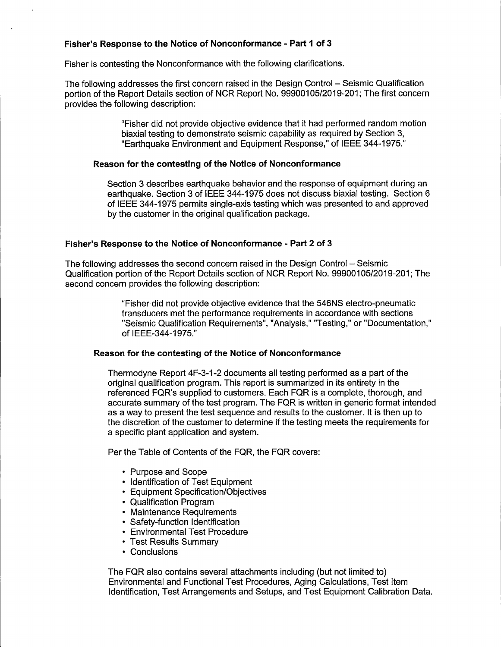# **Fisher's Response to the Notice of Nonconformance - Part 1 of 3**

Fisher is contesting the Nonconformance with the following clarifications.

The following addresses the first concern raised in the Design Control - Seismic Qualification portion of the Report Details section of NCR Report No. 99900105/2019-201; The first concern provides the following description:

> "Fisher did not provide objective evidence that it had performed random motion biaxial testing to demonstrate seismic capability as required by Section 3, "Earthquake Environment and Equipment Response," of IEEE 344-1975."

# **Reason for the contesting of the Notice of Nonconformance**

Section 3 describes earthquake behavior and the response of equipment during an earthquake. Section 3 of IEEE 344-1975 does not discuss biaxial testing. Section 6 of IEEE 344-1975 permits single-axis testing which was presented to and approved by the customer in the original qualification package.

### **Fisher's Response to the Notice of Nonconformance - Part 2 of 3**

The following addresses the second concern raised in the Design Control - Seismic Qualification portion of the Report Details section of NCR Report No. 99900105/2019-201; The second concern provides the following description:

> "Fisher- did not provide objective evidence that the 546NS electro-pneumatic transducers met the performance requirements in accordance with sections "Seismic Qualification Requirements", "Analysis," "Testing," or "Documentation," of IEEE-344-1975."

# **Reason for the contesting of the Notice of Nonconformance**

Thermodyne Report 4F-3-1-2 documents all testing performed as a part of the original qualification program. This report is summarized in its entirety in the referenced FQR's supplied to customers. Each FQR is a complete, thorough, and accurate summary of the test program. The FQR is written in generic format intended as a way to present the test sequence and results to the customer. It is then up to the discretion of the customer to determine if the testing meets the requirements for a specific plant application and system.

Per the Table of Contents of the FQR, the FQR covers:

- Purpose and Scope
- Identification of Test Equipment
- Equipment Specification/Objectives
- Qualification Program
- Maintenance Requirements
- Safety-function Identification
- Environmental Test Procedure
- Test Results Summary
- Conclusions

The FQR also contains several attachments including (but not limited to) Environmental and Functional Test Procedures, Aging Calculations, Test Item Identification, Test Arrangements and Setups, and Test Equipment Calibration Data.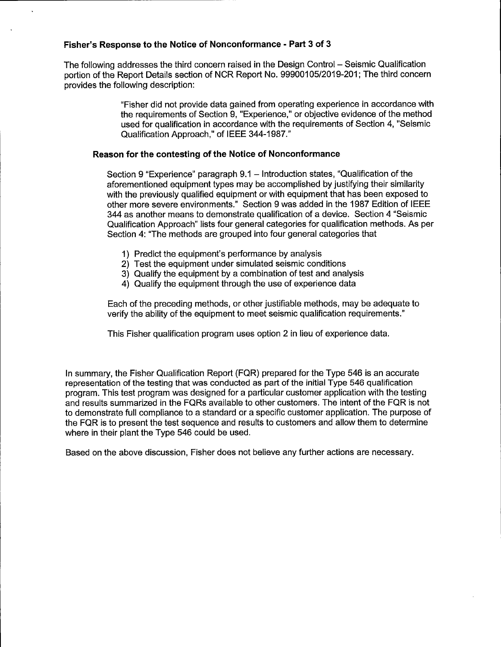# **Fisher's Response to the Notice of Nonconformance - Part 3 of 3**

The following addresses the third concern raised in the Design Control - Seismic Qualification portion of the Report Details section of NCR Report No. 99900105/2019-201; The third concern provides the following description:

> "Fisher did not provide data gained from operating experience in accordance with the requirements of Section 9, "Experience," or objective evidence of the method used for qualification in accordance with the requirements of Section 4, "Seismic Qualification Approach," of IEEE 344-1987."

# **Reason for the contesting of the Notice of Nonconformance**

Section 9 "Experience" paragraph 9.1 - Introduction states, "Qualification of the aforementioned equipment types may be accomplished by justifying their similarity with the previously qualified equipment or with equipment that has been exposed to other more severe environments." Section 9 was added in the 1987 Edition of IEEE 344 as another means to demonstrate qualification of a device. Section 4 "Seismic Qualification Approach" lists four general categories for qualification methods. As per Section 4: "The methods are grouped into four general categories that

- 1) Predict the equipment's performance by analysis
- 2) Test the equipment under simulated seismic conditions
- 3) Qualify the equipment by a combination of test and analysis
- 4) Qualify the equipment through the use of experience data

Each of the preceding methods, or other justifiable methods, may be adequate to verify the ability of the equipment to meet seismic qualification requirements."

This Fisher qualification program uses option 2 in lieu of experience data.

In summary, the Fisher Qualification Report (FQR) prepared for the Type 546 is an accurate representation of the testing that was conducted as part of the initial Type 546 qualification program. This test program was designed for a particular customer application with the testing and results summarized in the FQRs available to other customers. The intent of the FQR is not to demonstrate full compliance to a standard or a specific customer application. The purpose of the FQR is to present the test sequence and results to customers and allow them to determine where in their plant the Type 546 could be used.

Based on the above discussion, Fisher does not believe any further actions are necessary.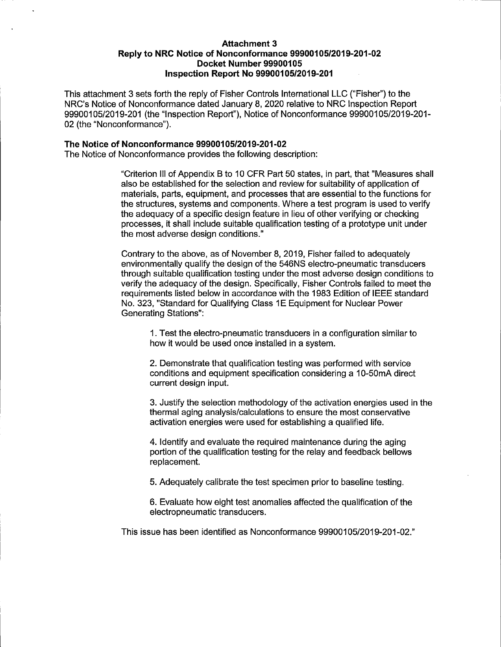## **Attachment 3 Reply to NRC Notice of Nonconformance 99900105/2019-201-02 Docket Number 99900105 Inspection Report No 99900105/2019-201**

This attachment 3 sets forth the reply of Fisher Controls International LLC ("Fisher") to the NRC's Notice of Nonconformance dated January 8, 2020 relative to NRC Inspection Report 99900105/2019-201 (the "Inspection Report"), Notice of Nonconformance 99900105/2019-201- 02 (the "Nonconformance").

# **The Notice of Nonconformance 99900105/2019-201-02**

The Notice of Nonconformance provides the following description:

"Criterion III of Appendix B to 10 CFR Part 50 states, in part, that "Measures shall also be established for the selection and review for suitability of application of materials, parts, equipment, and processes that are essential to the functions for the structures, systems and components. Where a test program is used to verify the adequacy of a specific design feature in lieu of other verifying or checking processes, it shall include suitable qualification testing of a prototype unit under the most adverse design conditions."

Contrary to the above, as of November 8, 2019, Fisher failed to adequately environmentally qualify the design of the 546NS electro-pneumatic transducers through suitable qualification testing under the most adverse design conditions to verify the adequacy of the design. Specifically, Fisher Controls failed to meet the requirements listed below in accordance with the 1983 Edition of IEEE standard No. 323, "Standard for Qualifying Class 1E Equipment for Nuclear Power Generating Stations":

1. Test the electro-pneumatic transducers in a configuration similar to how it would be used once installed in a system.

2. Demonstrate that qualification testing was performed with service conditions and equipment specification considering a 10-50mA direct current design input.

3. Justify the selection methodology of the activation energies used in the thermal aging analysis/calculations to ensure the most conservative activation energies were used for establishing a qualified life.

4. Identify and evaluate the required maintenance during the aging portion of the qualification testing for the relay and feedback bellows replacement.

5. Adequately calibrate the test specimen prior to baseline testing.

6. Evaluate how eight test anomalies affected the qualification of the electropneumatic transducers.

This issue has been identified as Nonconformance 99900105/2019-201-02."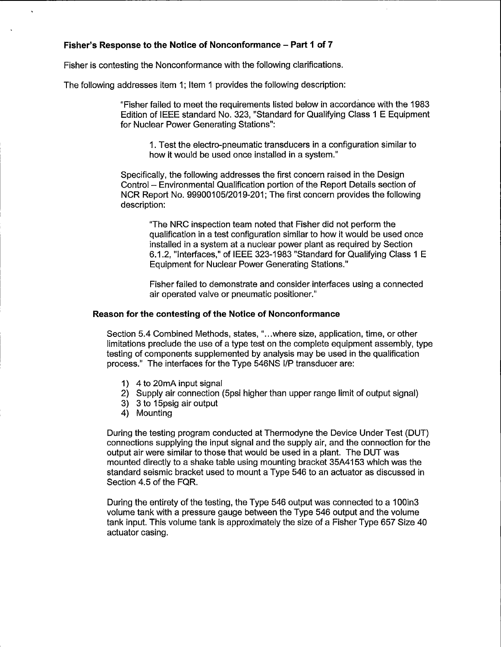# **Fisher's Response to the Notice of Nonconformance - Part 1 of 7**

Fisher is contesting the Nonconformance with the following clarifications.

The following addresses item 1; Item 1 provides the following description:

"Fisher failed to meet the requirements listed below in accordance with the 1983 Edition of IEEE standard No. 323, "Standard for Qualifying Class 1 E Equipment for Nuclear Power Generating Stations":

1. Test the electro-pneumatic transducers in a configuration similar to how it would be used once installed in a system."

Specifically, the following addresses the first concern raised in the Design Control - Environmental Qualification portion of the Report Details section of NCR Report No. 99900105/2019-201; The first concern provides the following description:

"The NRC inspection team noted that Fisher did not perform the qualification in a test configuration similar to how it would be used once installed in a system at a nuclear power plant as required by Section 6.1.2, "Interfaces," of IEEE 323-1983 "Standard for Qualifying Class 1 E Equipment for Nuclear Power Generating Stations."

Fisher failed to demonstrate and consider interfaces using a connected air operated valve or pneumatic positioner."

#### **Reason for the contesting of the Notice of Nonconformance**

Section 5.4 Combined Methods, states, " ... where size, application, time, or other limitations preclude the use of a type test on the complete equipment assembly, type testing of components supplemented by analysis may be used in the qualification process." The interfaces for the Type 546NS 1/P transducer are:

- 1) 4 to 20mA input signal
- 2) Supply air connection (5psi higher than upper range limit of output signal)
- 3) 3 to 15psig air output
- 4) Mounting

During the testing program conducted at Thermodyne the Device Under Test (OUT) connections supplying the input signal and the supply air, and the connection for the output air were similar to those that would be used in a plant. The OUT was mounted directly to a shake table using mounting bracket 35A4153 which was the standard seismic bracket used to mount a Type 546 to an actuator as discussed in Section 4.5 of the FQR.

During the entirety of the testing, the Type 546 output was connected to a 100in3 volume tank with a pressure gauge between the Type 546 output and the volume tank input. This volume tank is approximately the size of a Fisher Type 657 Size 40 actuator casing.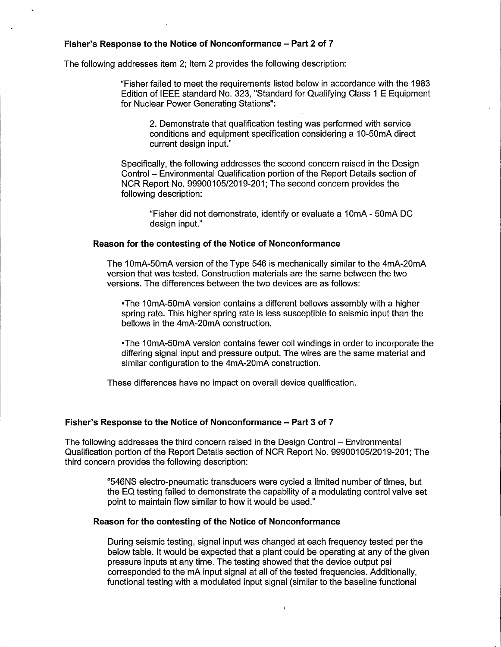### **Fisher's Response to the Notice of Nonconformance - Part 2 of 7**

The following addresses item 2; Item 2 provides the following description:

"Fisher failed to meet the requirements listed below in accordance with the 1983 Edition of IEEE standard No. 323, "Standard for Qualifying Class 1 E Equipment for Nuclear Power Generating Stations":

2. Demonstrate that qualification testing was performed with service conditions and equipment specification considering a 10-50mA direct current design input."

Specifically, the following addresses the second concern raised in the Design Control - Environmental Qualification portion of the Report Details section of NCR Report No. 99900105/2019-201; The second concern provides the following description:

> "Fisher did not demonstrate, identify or evaluate a 1 OmA - 50mA DC design input."

#### **Reason for the contesting of the Notice of Nonconformance**

The 10mA-50mA version of the Type 546 is mechanically similar to the 4mA-20mA version that was tested. Construction materials are the same between the two versions. The differences between the two devices are as follows:

•The 10mA-50mA version contains a different bellows assembly with a higher spring rate. This higher spring rate is less susceptible to seismic input than the bellows in the 4mA-20mA construction.

• The 1 OmA-50mA version contains fewer coil windings in order to incorporate the differing signal input and pressure output. The wires are the same material and similar configuration to the 4mA-20mA construction.

These differences have no impact on overall device qualification.

# **Fisher's Response to the Notice of Nonconformance - Part 3 of 7**

The following addresses the third concern raised in the Design Control - Environmental Qualification portion of the Report Details section of NCR Report No. 99900105/2019-201; The third concern provides the following description:

> "546NS electro-pneumatic transducers were cycled a limited number of times, but the EQ testing failed to demonstrate the capability of a modulating control valve set point to maintain flow similar to how it would be used."

#### **Reason for the contesting of the Notice of Nonconformance**

During seismic testing, signal input was changed at each frequency tested per the below table. It would be expected that a plant could be operating at any of the given pressure inputs at any time. The testing showed that the device output psi corresponded to the mA input signal at all of the tested frequencies. Additionally, functional testing with a modulated input signal (similar to the baseline functional

 $\mathbf{r}$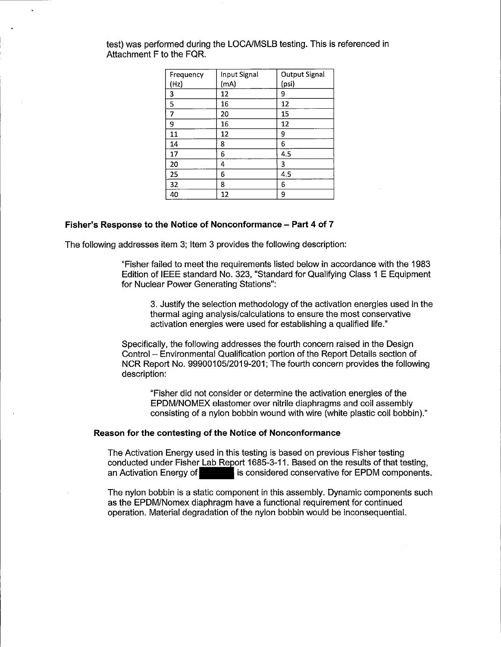| Frequency | Input Signal | <b>Output Signal</b> |
|-----------|--------------|----------------------|
| (Hz)      | (mA)         | (psi)                |
| 3         | 12           | 9                    |
| 5         | 16           | 12                   |
| 7         | 20           | 15                   |
| 9         | 16           | 12                   |
| 11        | 12           | 9                    |
| 14        | 8            | 6                    |
| 17        | 6            | 4.5                  |
| 20        | 4            | 3                    |
| 25        | 6            | 4.5                  |
| 32        | 8            | 6                    |
| 40        | 12           | 9                    |

test) was performed during the LOCA/MSLB testing. This is referenced in Attachment F to the FQR.

#### **Fisher's Response to the Notice of Nonconformance - Part 4 of 7**

The following addresses item 3; Item 3 provides the following description:

"Fisher failed to meet the requirements listed below in accordance with the 1983 Edition of IEEE standard No. 323, "Standard for Qualifying Class 1 E Equipment for Nuclear Power Generating Stations":

3. Justify the selection methodology of the activation energies used in the thermal aging analysis/calculations to ensure the most conservative activation energies were used for establishing a qualified life."

Specifically, the following addresses the fourth concern raised in the Design Control - Environmental Qualification portion of the Report Details section of NCR Report No. 99900105/2019-201; The fourth concern provides the following description:

"Fisher did not consider or determine the activation energies of the EPDM/NOMEX elastomer over nitrile diaphragms and coil assembly consisting of a nylon bobbin wound with wire (white plastic coil bobbin)."

#### **Reason for the contesting of the Notice of Nonconformance**

The Activation Energy used in this testing is based on previous Fisher testing The Activation Energy used in this testing is based on previous Fisher testing<br>conducted under Fisher Lab Report 1685-3-11. Based on the results of that testing, and Activation Energy ased in this testing is based on previous Fisher testing,<br>conducted under Fisher Lab Report 1685-3-11. Based on the results of that testing,<br>an Activation Energy of

The nylon bobbin is a static component in this assembly. Dynamic components such as the EPDM/Nomex diaphragm have a functional requirement for continued operation. Material degradation of the nylon bobbin would be inconsequential.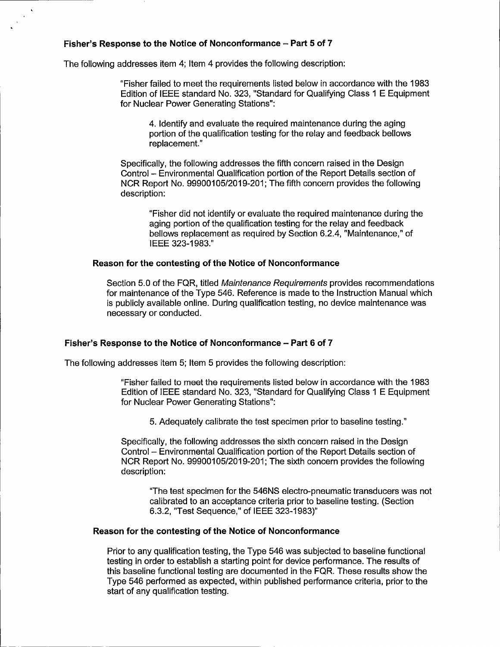# **Fisher's Response to the Notice of Nonconformance - Part 5 of 7**

The following addresses item 4; Item 4 provides the following description:

"Fisher failed to meet the requirements listed below in accordance with the 1983 Edition of IEEE standard No. 323, "Standard for Qualifying Class 1 E Equipment for Nuclear Power Generating Stations":

4. Identify and evaluate the required maintenance during the aging portion of the qualification testing for the relay and feedback bellows replacement."

Specifically, the following addresses the fifth concern raised in the Design Control - Environmental Qualification portion of the Report Details section of NCR Report No. 99900105/2019-201; The fifth concern provides the following description:

"Fisher did not identify or evaluate the required maintenance during the aging portion of the qualification testing for the relay and feedback bellows replacement as required by Section 6.2.4, "Maintenance," of IEEE 323-1983."

### **Reason for the contesting of the Notice of Nonconformance**

Section 5.0 of the FQR, titled Maintenance Requirements provides recommendations for maintenance of the Type 546. Reference is made to the Instruction Manual which is publicly available online. During qualification testing, no device maintenance was necessary or conducted.

# **Fisher's Response to the Notice of Nonconformance - Part 6 of 7**

The following addresses item 5; Item 5 provides the following description:

"Fisher failed to meet the requirements listed below in accordance with the 1983 Edition of IEEE standard No. 323, "Standard for Qualifying Class 1 E Equipment for Nuclear Power Generating Stations":

5. Adequately calibrate the test specimen prior to baseline testing."

Specifically, the following addresses the sixth concern raised in the Design Control - Environmental Qualification portion of the Report Details section of NCR Report No. 99900105/2019-201; The sixth concern provides the following description:

"The test specimen for the 546NS electro-pneumatic transducers was not calibrated to an acceptance criteria prior to baseline testing. (Section 6.3.2, "Test Sequence," of IEEE 323-1983)"

# **Reason for the contesting of the Notice of Nonconformance**

Prior to any qualification testing, the Type 546 was subjected to baseline functional testing in order to establish a starting point for device performance. The results of this baseline functional testing are documented in the FQR. These results show the Type 546 performed as expected, within published performance criteria, prior to the start of any qualification testing.